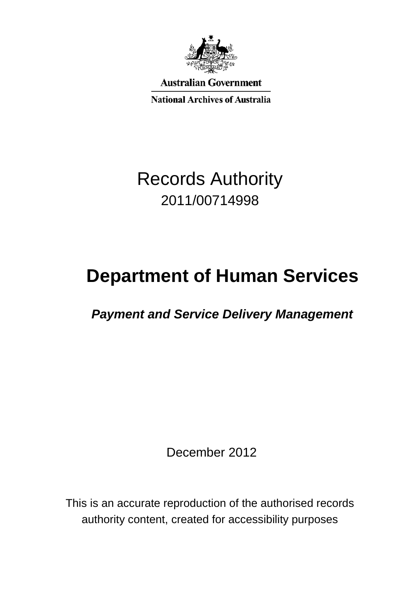

**Australian Government** 

**National Archives of Australia** 

# Records Authority 2011/00714998

# **Department of Human Services**

 *Payment and Service Delivery Management*

December 2012

This is an accurate reproduction of the authorised records authority content, created for accessibility purposes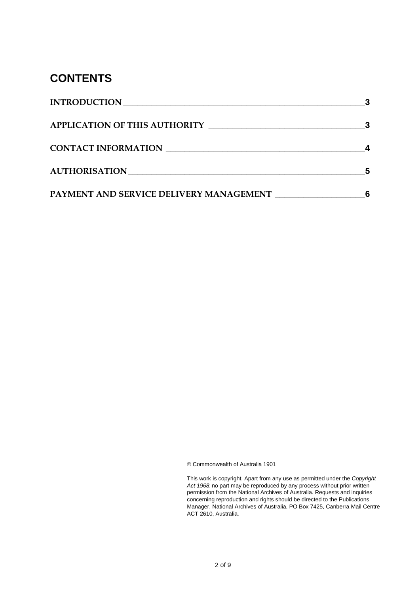#### **CONTENTS**

| <b>INTRODUCTION</b>                     |  |
|-----------------------------------------|--|
| <b>APPLICATION OF THIS AUTHORITY</b>    |  |
| <b>CONTACT INFORMATION</b>              |  |
|                                         |  |
| PAYMENT AND SERVICE DELIVERY MANAGEMENT |  |

© Commonwealth of Australia 1901

This work is copyright. Apart from any use as permitted under the *Copyright Act 1968,* no part may be reproduced by any process without prior written permission from the National Archives of Australia. Requests and inquiries concerning reproduction and rights should be directed to the Publications Manager, National Archives of Australia, PO Box 7425, Canberra Mail Centre ACT 2610, Australia.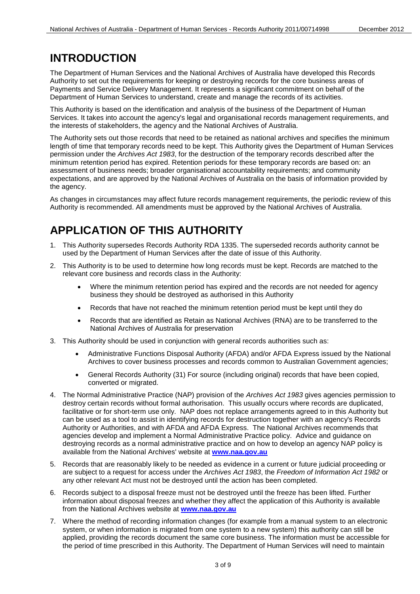#### <span id="page-2-0"></span>**INTRODUCTION**

The Department of Human Services and the National Archives of Australia have developed this Records Authority to set out the requirements for keeping or destroying records for the core business areas of Payments and Service Delivery Management. It represents a significant commitment on behalf of the Department of Human Services to understand, create and manage the records of its activities.

This Authority is based on the identification and analysis of the business of the Department of Human Services. It takes into account the agency's legal and organisational records management requirements, and the interests of stakeholders, the agency and the National Archives of Australia.

The Authority sets out those records that need to be retained as national archives and specifies the minimum length of time that temporary records need to be kept. This Authority gives the Department of Human Services permission under the *Archives Act 1983*, for the destruction of the temporary records described after the minimum retention period has expired. Retention periods for these temporary records are based on: an assessment of business needs; broader organisational accountability requirements; and community expectations, and are approved by the National Archives of Australia on the basis of information provided by the agency.

As changes in circumstances may affect future records management requirements, the periodic review of this Authority is recommended. All amendments must be approved by the National Archives of Australia.

# <span id="page-2-1"></span>**APPLICATION OF THIS AUTHORITY**

- 1. This Authority supersedes Records Authority RDA 1335. The superseded records authority cannot be used by the Department of Human Services after the date of issue of this Authority.
- 2. This Authority is to be used to determine how long records must be kept. Records are matched to the relevant core business and records class in the Authority:
	- Where the minimum retention period has expired and the records are not needed for agency business they should be destroyed as authorised in this Authority
	- Records that have not reached the minimum retention period must be kept until they do
	- Records that are identified as Retain as National Archives (RNA) are to be transferred to the National Archives of Australia for preservation
- 3. This Authority should be used in conjunction with general records authorities such as:
	- Administrative Functions Disposal Authority (AFDA) and/or AFDA Express issued by the National Archives to cover business processes and records common to Australian Government agencies;
	- General Records Authority (31) For source (including original) records that have been copied, converted or migrated.
- 4. The Normal Administrative Practice (NAP) provision of the *Archives Act 1983* gives agencies permission to destroy certain records without formal authorisation. This usually occurs where records are duplicated, facilitative or for short-term use only. NAP does not replace arrangements agreed to in this Authority but can be used as a tool to assist in identifying records for destruction together with an agency's Records Authority or Authorities, and with AFDA and AFDA Express. The National Archives recommends that agencies develop and implement a Normal Administrative Practice policy. Advice and guidance on destroying records as a normal administrative practice and on how to develop an agency NAP policy is available from the National Archives' website at **[www.naa.gov.au](http://www.naa.gov.au/)**
- 5. Records that are reasonably likely to be needed as evidence in a current or future judicial proceeding or are subject to a request for access under the *Archives Act 1983*, the *Freedom of Information Act 1982* or any other relevant Act must not be destroyed until the action has been completed.
- 6. Records subject to a disposal freeze must not be destroyed until the freeze has been lifted. Further information about disposal freezes and whether they affect the application of this Authority is available from the National Archives website at **[www.naa.gov.au](http://www.naa.gov.au/)**
- 7. Where the method of recording information changes (for example from a manual system to an electronic system, or when information is migrated from one system to a new system) this authority can still be applied, providing the records document the same core business. The information must be accessible for the period of time prescribed in this Authority. The Department of Human Services will need to maintain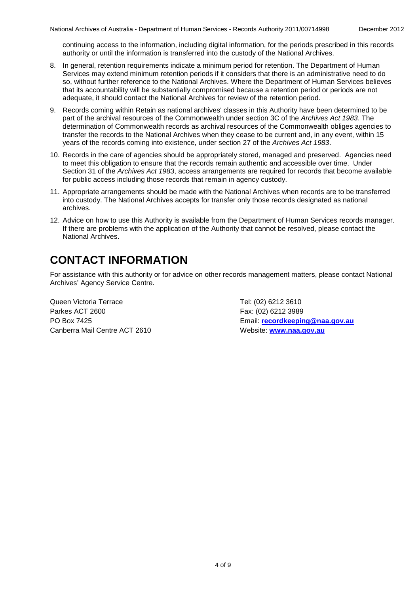continuing access to the information, including digital information, for the periods prescribed in this records authority or until the information is transferred into the custody of the National Archives.

- 8. In general, retention requirements indicate a minimum period for retention. The Department of Human Services may extend minimum retention periods if it considers that there is an administrative need to do so, without further reference to the National Archives. Where the Department of Human Services believes that its accountability will be substantially compromised because a retention period or periods are not adequate, it should contact the National Archives for review of the retention period.
- 9. Records coming within Retain as national archives' classes in this Authority have been determined to be part of the archival resources of the Commonwealth under section 3C of the *Archives Act 1983*. The determination of Commonwealth records as archival resources of the Commonwealth obliges agencies to transfer the records to the National Archives when they cease to be current and, in any event, within 15 years of the records coming into existence, under section 27 of the *Archives Act 1983*.
- 10. Records in the care of agencies should be appropriately stored, managed and preserved. Agencies need to meet this obligation to ensure that the records remain authentic and accessible over time. Under Section 31 of the *Archives Act 1983*, access arrangements are required for records that become available for public access including those records that remain in agency custody.
- 11. Appropriate arrangements should be made with the National Archives when records are to be transferred into custody. The National Archives accepts for transfer only those records designated as national archives.
- 12. Advice on how to use this Authority is available from the Department of Human Services records manager. If there are problems with the application of the Authority that cannot be resolved, please contact the National Archives.

#### <span id="page-3-0"></span>**CONTACT INFORMATION**

For assistance with this authority or for advice on other records management matters, please contact National Archives' Agency Service Centre.

Queen Victoria Terrace Tel: (02) 6212 3610 Parkes ACT 2600 Fax: (02) 6212 3989 Canberra Mail Centre ACT 2610 Website: **[www.naa.gov.au](http://www.naa.gov.au/)**

PO Box 7425 Email: **[recordkeeping@naa.gov.au](mailto:recordkeeping@naa.gov.au)**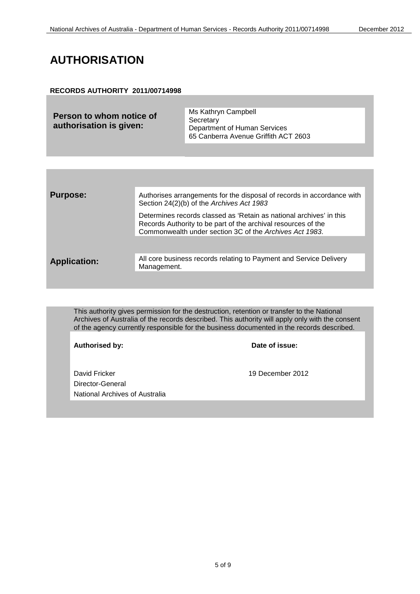### <span id="page-4-0"></span>**AUTHORISATION**

#### **RECORDS AUTHORITY 2011/00714998**

| Person to whom notice of | Ms Kathryn Campbell                  |
|--------------------------|--------------------------------------|
|                          | Secretary                            |
| authorisation is given:  | Department of Human Services         |
|                          | 65 Canberra Avenue Griffith ACT 2603 |

| <b>Purpose:</b>     | Authorises arrangements for the disposal of records in accordance with<br>Section 24(2)(b) of the Archives Act 1983                                                                             |
|---------------------|-------------------------------------------------------------------------------------------------------------------------------------------------------------------------------------------------|
|                     | Determines records classed as 'Retain as national archives' in this<br>Records Authority to be part of the archival resources of the<br>Commonwealth under section 3C of the Archives Act 1983. |
|                     |                                                                                                                                                                                                 |
| <b>Application:</b> | All core business records relating to Payment and Service Delivery<br>Management.                                                                                                               |

This authority gives permission for the destruction, retention or transfer to the National Archives of Australia of the records described. This authority will apply only with the consent of the agency currently responsible for the business documented in the records described.

| Authorised by:                                                      | Date of issue:   |
|---------------------------------------------------------------------|------------------|
| David Fricker<br>Director-General<br>National Archives of Australia | 19 December 2012 |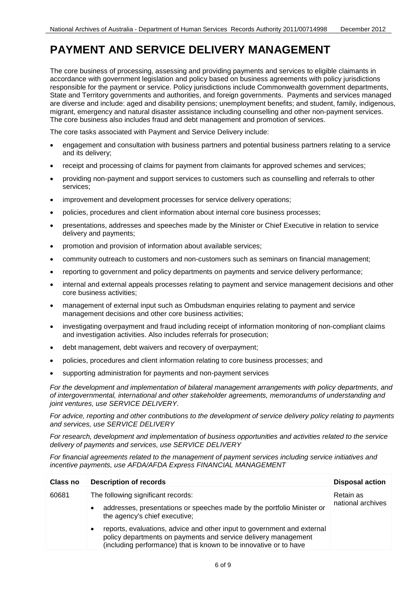<span id="page-5-0"></span>The core business of processing, assessing and providing payments and services to eligible claimants in accordance with government legislation and policy based on business agreements with policy jurisdictions responsible for the payment or service. Policy jurisdictions include Commonwealth government departments, State and Territory governments and authorities, and foreign governments. Payments and services managed are diverse and include: aged and disability pensions; unemployment benefits; and student, family, indigenous, migrant, emergency and natural disaster assistance including counselling and other non-payment services. The core business also includes fraud and debt management and promotion of services.

The core tasks associated with Payment and Service Delivery include:

- engagement and consultation with business partners and potential business partners relating to a service and its delivery;
- receipt and processing of claims for payment from claimants for approved schemes and services;
- providing non-payment and support services to customers such as counselling and referrals to other services;
- improvement and development processes for service delivery operations;
- policies, procedures and client information about internal core business processes;
- presentations, addresses and speeches made by the Minister or Chief Executive in relation to service delivery and payments;
- promotion and provision of information about available services;
- community outreach to customers and non-customers such as seminars on financial management;
- reporting to government and policy departments on payments and service delivery performance;
- internal and external appeals processes relating to payment and service management decisions and other core business activities;
- management of external input such as Ombudsman enquiries relating to payment and service management decisions and other core business activities;
- investigating overpayment and fraud including receipt of information monitoring of non-compliant claims and investigation activities. Also includes referrals for prosecution;
- debt management, debt waivers and recovery of overpayment;
- policies, procedures and client information relating to core business processes; and
- supporting administration for payments and non-payment services

*For the development and implementation of bilateral management arrangements with policy departments, and of intergovernmental, international and other stakeholder agreements, memorandums of understanding and joint ventures, use SERVICE DELIVERY.*

*For advice, reporting and other contributions to the development of service delivery policy relating to payments and services, use SERVICE DELIVERY*

*For research, development and implementation of business opportunities and activities related to the service delivery of payments and services, use SERVICE DELIVERY*

*For financial agreements related to the management of payment services including service initiatives and incentive payments, use AFDA/AFDA Express FINANCIAL MANAGEMENT*

| Class no | <b>Description of records</b>                                                                                                                                                                                               | <b>Disposal action</b> |
|----------|-----------------------------------------------------------------------------------------------------------------------------------------------------------------------------------------------------------------------------|------------------------|
| 60681    | The following significant records:                                                                                                                                                                                          | Retain as              |
|          | addresses, presentations or speeches made by the portfolio Minister or<br>$\bullet$<br>the agency's chief executive;                                                                                                        | national archives      |
|          | reports, evaluations, advice and other input to government and external<br>$\bullet$<br>policy departments on payments and service delivery management<br>(including performance) that is known to be innovative or to have |                        |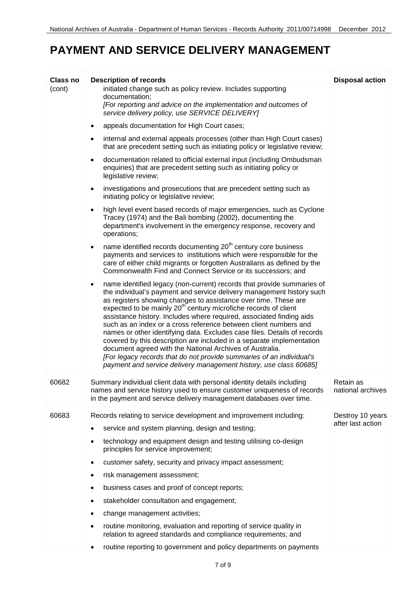| Class no | <b>Description of records</b>                                                                                                                                                                                                                                                                                                                                                                                                                                                                                                                                                                                                                                                                                                                                                                                    | <b>Disposal action</b>         |
|----------|------------------------------------------------------------------------------------------------------------------------------------------------------------------------------------------------------------------------------------------------------------------------------------------------------------------------------------------------------------------------------------------------------------------------------------------------------------------------------------------------------------------------------------------------------------------------------------------------------------------------------------------------------------------------------------------------------------------------------------------------------------------------------------------------------------------|--------------------------------|
| (cont)   | initiated change such as policy review. Includes supporting<br>documentation;<br>[For reporting and advice on the implementation and outcomes of<br>service delivery policy, use SERVICE DELIVERY]                                                                                                                                                                                                                                                                                                                                                                                                                                                                                                                                                                                                               |                                |
|          | appeals documentation for High Court cases;<br>٠                                                                                                                                                                                                                                                                                                                                                                                                                                                                                                                                                                                                                                                                                                                                                                 |                                |
|          | internal and external appeals processes (other than High Court cases)<br>٠<br>that are precedent setting such as initiating policy or legislative review;                                                                                                                                                                                                                                                                                                                                                                                                                                                                                                                                                                                                                                                        |                                |
|          | documentation related to official external input (including Ombudsman<br>$\bullet$<br>enquiries) that are precedent setting such as initiating policy or<br>legislative review;                                                                                                                                                                                                                                                                                                                                                                                                                                                                                                                                                                                                                                  |                                |
|          | investigations and prosecutions that are precedent setting such as<br>٠<br>initiating policy or legislative review;                                                                                                                                                                                                                                                                                                                                                                                                                                                                                                                                                                                                                                                                                              |                                |
|          | high level event based records of major emergencies, such as Cyclone<br>$\bullet$<br>Tracey (1974) and the Bali bombing (2002), documenting the<br>department's involvement in the emergency response, recovery and<br>operations;                                                                                                                                                                                                                                                                                                                                                                                                                                                                                                                                                                               |                                |
|          | name identified records documenting 20 <sup>th</sup> century core business<br>٠<br>payments and services to institutions which were responsible for the<br>care of either child migrants or forgotten Australians as defined by the<br>Commonwealth Find and Connect Service or its successors; and                                                                                                                                                                                                                                                                                                                                                                                                                                                                                                              |                                |
|          | name identified legacy (non-current) records that provide summaries of<br>٠<br>the individual's payment and service delivery management history such<br>as registers showing changes to assistance over time. These are<br>expected to be mainly 20 <sup>th</sup> century microfiche records of client<br>assistance history. Includes where required, associated finding aids<br>such as an index or a cross reference between client numbers and<br>names or other identifying data. Excludes case files. Details of records<br>covered by this description are included in a separate implementation<br>document agreed with the National Archives of Australia.<br>[For legacy records that do not provide summaries of an individual's<br>payment and service delivery management history, use class 60685] |                                |
| 60682    | Summary individual client data with personal identity details including<br>names and service history used to ensure customer uniqueness of records<br>in the payment and service delivery management databases over time.                                                                                                                                                                                                                                                                                                                                                                                                                                                                                                                                                                                        | Retain as<br>national archives |
| 60683    | Records relating to service development and improvement including:                                                                                                                                                                                                                                                                                                                                                                                                                                                                                                                                                                                                                                                                                                                                               | Destroy 10 years               |
|          | service and system planning, design and testing;<br>٠                                                                                                                                                                                                                                                                                                                                                                                                                                                                                                                                                                                                                                                                                                                                                            | after last action              |
|          | technology and equipment design and testing utilising co-design<br>principles for service improvement;                                                                                                                                                                                                                                                                                                                                                                                                                                                                                                                                                                                                                                                                                                           |                                |
|          | customer safety, security and privacy impact assessment;<br>٠                                                                                                                                                                                                                                                                                                                                                                                                                                                                                                                                                                                                                                                                                                                                                    |                                |
|          | risk management assessment;<br>٠                                                                                                                                                                                                                                                                                                                                                                                                                                                                                                                                                                                                                                                                                                                                                                                 |                                |
|          | business cases and proof of concept reports;<br>٠                                                                                                                                                                                                                                                                                                                                                                                                                                                                                                                                                                                                                                                                                                                                                                |                                |
|          | stakeholder consultation and engagement;                                                                                                                                                                                                                                                                                                                                                                                                                                                                                                                                                                                                                                                                                                                                                                         |                                |
|          | change management activities;<br>٠                                                                                                                                                                                                                                                                                                                                                                                                                                                                                                                                                                                                                                                                                                                                                                               |                                |
|          | routine monitoring, evaluation and reporting of service quality in<br>٠<br>relation to agreed standards and compliance requirements; and                                                                                                                                                                                                                                                                                                                                                                                                                                                                                                                                                                                                                                                                         |                                |
|          | routine reporting to government and policy departments on payments<br>٠                                                                                                                                                                                                                                                                                                                                                                                                                                                                                                                                                                                                                                                                                                                                          |                                |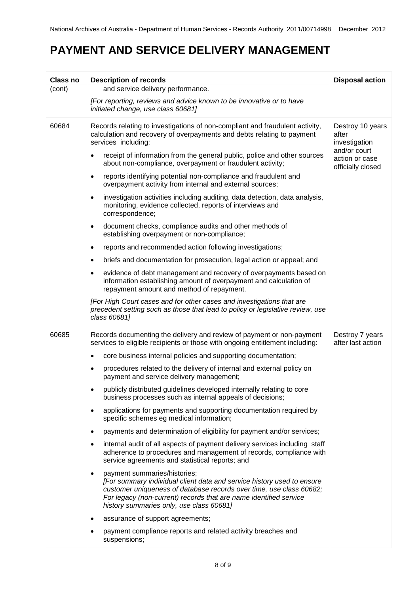| Class no | <b>Description of records</b>                                                                                                                                                                                                                                                                  | <b>Disposal action</b>                              |
|----------|------------------------------------------------------------------------------------------------------------------------------------------------------------------------------------------------------------------------------------------------------------------------------------------------|-----------------------------------------------------|
| (cont)   | and service delivery performance.                                                                                                                                                                                                                                                              |                                                     |
|          | [For reporting, reviews and advice known to be innovative or to have<br>initiated change, use class 60681]                                                                                                                                                                                     |                                                     |
| 60684    | Records relating to investigations of non-compliant and fraudulent activity,<br>calculation and recovery of overpayments and debts relating to payment<br>services including:                                                                                                                  | Destroy 10 years<br>after<br>investigation          |
|          | receipt of information from the general public, police and other sources<br>about non-compliance, overpayment or fraudulent activity;                                                                                                                                                          | and/or court<br>action or case<br>officially closed |
|          | reports identifying potential non-compliance and fraudulent and<br>$\bullet$<br>overpayment activity from internal and external sources;                                                                                                                                                       |                                                     |
|          | investigation activities including auditing, data detection, data analysis,<br>$\bullet$<br>monitoring, evidence collected, reports of interviews and<br>correspondence;                                                                                                                       |                                                     |
|          | document checks, compliance audits and other methods of<br>$\bullet$<br>establishing overpayment or non-compliance;                                                                                                                                                                            |                                                     |
|          | reports and recommended action following investigations;                                                                                                                                                                                                                                       |                                                     |
|          | briefs and documentation for prosecution, legal action or appeal; and<br>$\bullet$                                                                                                                                                                                                             |                                                     |
|          | evidence of debt management and recovery of overpayments based on<br>$\bullet$<br>information establishing amount of overpayment and calculation of<br>repayment amount and method of repayment.                                                                                               |                                                     |
|          | [For High Court cases and for other cases and investigations that are<br>precedent setting such as those that lead to policy or legislative review, use<br>class 60681]                                                                                                                        |                                                     |
| 60685    | Records documenting the delivery and review of payment or non-payment<br>services to eligible recipients or those with ongoing entitlement including:                                                                                                                                          | Destroy 7 years<br>after last action                |
|          | core business internal policies and supporting documentation;<br>$\bullet$                                                                                                                                                                                                                     |                                                     |
|          | procedures related to the delivery of internal and external policy on<br>$\bullet$<br>payment and service delivery management;                                                                                                                                                                 |                                                     |
|          | publicly distributed guidelines developed internally relating to core<br>business processes such as internal appeals of decisions;                                                                                                                                                             |                                                     |
|          | applications for payments and supporting documentation required by<br>specific schemes eg medical information;                                                                                                                                                                                 |                                                     |
|          | payments and determination of eligibility for payment and/or services;                                                                                                                                                                                                                         |                                                     |
|          | internal audit of all aspects of payment delivery services including staff<br>adherence to procedures and management of records, compliance with<br>service agreements and statistical reports; and                                                                                            |                                                     |
|          | payment summaries/histories;<br>[For summary individual client data and service history used to ensure<br>customer uniqueness of database records over time, use class 60682;<br>For legacy (non-current) records that are name identified service<br>history summaries only, use class 60681] |                                                     |
|          | assurance of support agreements;<br>$\bullet$                                                                                                                                                                                                                                                  |                                                     |
|          | payment compliance reports and related activity breaches and<br>suspensions;                                                                                                                                                                                                                   |                                                     |